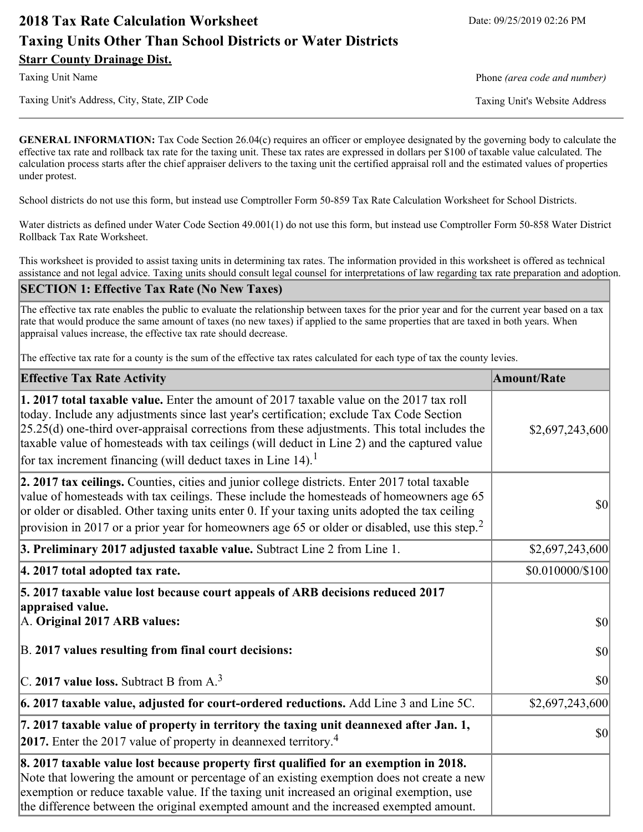# **2018 Tax Rate Calculation Worksheet** Date: 09/25/2019 02:26 PM **Taxing Units Other Than School Districts or Water Districts Starr County Drainage Dist.**

Taxing Unit's Address, City, State, ZIP Code Taxing Unit's Website Address

Taxing Unit Name **Phone** *(area code and number)* Phone *(area code and number)* 

**GENERAL INFORMATION:** Tax Code Section 26.04(c) requires an officer or employee designated by the governing body to calculate the effective tax rate and rollback tax rate for the taxing unit. These tax rates are expressed in dollars per \$100 of taxable value calculated. The calculation process starts after the chief appraiser delivers to the taxing unit the certified appraisal roll and the estimated values of properties under protest.

School districts do not use this form, but instead use Comptroller Form 50-859 Tax Rate Calculation Worksheet for School Districts.

Water districts as defined under Water Code Section 49.001(1) do not use this form, but instead use Comptroller Form 50-858 Water District Rollback Tax Rate Worksheet.

This worksheet is provided to assist taxing units in determining tax rates. The information provided in this worksheet is offered as technical assistance and not legal advice. Taxing units should consult legal counsel for interpretations of law regarding tax rate preparation and adoption.

### **SECTION 1: Effective Tax Rate (No New Taxes)**

The effective tax rate enables the public to evaluate the relationship between taxes for the prior year and for the current year based on a tax rate that would produce the same amount of taxes (no new taxes) if applied to the same properties that are taxed in both years. When appraisal values increase, the effective tax rate should decrease.

The effective tax rate for a county is the sum of the effective tax rates calculated for each type of tax the county levies.

| <b>Effective Tax Rate Activity</b>                                                                                                                                                                                                                                                                                                                                                                                                                                      | <b>Amount/Rate</b>                  |
|-------------------------------------------------------------------------------------------------------------------------------------------------------------------------------------------------------------------------------------------------------------------------------------------------------------------------------------------------------------------------------------------------------------------------------------------------------------------------|-------------------------------------|
| 1. 2017 total taxable value. Enter the amount of 2017 taxable value on the 2017 tax roll<br>today. Include any adjustments since last year's certification; exclude Tax Code Section<br>$[25.25(d)$ one-third over-appraisal corrections from these adjustments. This total includes the<br>taxable value of homesteads with tax ceilings (will deduct in Line 2) and the captured value<br>for tax increment financing (will deduct taxes in Line $14$ ). <sup>1</sup> | \$2,697,243,600                     |
| 2. 2017 tax ceilings. Counties, cities and junior college districts. Enter 2017 total taxable<br>value of homesteads with tax ceilings. These include the homesteads of homeowners age 65<br>or older or disabled. Other taxing units enter 0. If your taxing units adopted the tax ceiling<br>provision in 2017 or a prior year for homeowners age 65 or older or disabled, use this step. <sup>2</sup>                                                                | $ 10\rangle$                        |
| 3. Preliminary 2017 adjusted taxable value. Subtract Line 2 from Line 1.                                                                                                                                                                                                                                                                                                                                                                                                | \$2,697,243,600                     |
| 4. 2017 total adopted tax rate.                                                                                                                                                                                                                                                                                                                                                                                                                                         | \$0.010000/\$100                    |
| 5. 2017 taxable value lost because court appeals of ARB decisions reduced 2017<br>appraised value.<br>A. Original 2017 ARB values:                                                                                                                                                                                                                                                                                                                                      | <b>\$0</b>                          |
| B. 2017 values resulting from final court decisions:                                                                                                                                                                                                                                                                                                                                                                                                                    | <b>\$0</b>                          |
| C. 2017 value loss. Subtract B from A. <sup>3</sup>                                                                                                                                                                                                                                                                                                                                                                                                                     | \$0                                 |
| $\vert$ 6. 2017 taxable value, adjusted for court-ordered reductions. Add Line 3 and Line 5C.                                                                                                                                                                                                                                                                                                                                                                           | \$2,697,243,600                     |
| 7. 2017 taxable value of property in territory the taxing unit deannexed after Jan. 1,<br>2017. Enter the 2017 value of property in deannexed territory. <sup>4</sup>                                                                                                                                                                                                                                                                                                   | $\vert \mathbf{S} \mathbf{O} \vert$ |
| 8. 2017 taxable value lost because property first qualified for an exemption in 2018.<br>Note that lowering the amount or percentage of an existing exemption does not create a new<br>exemption or reduce taxable value. If the taxing unit increased an original exemption, use<br>the difference between the original exempted amount and the increased exempted amount.                                                                                             |                                     |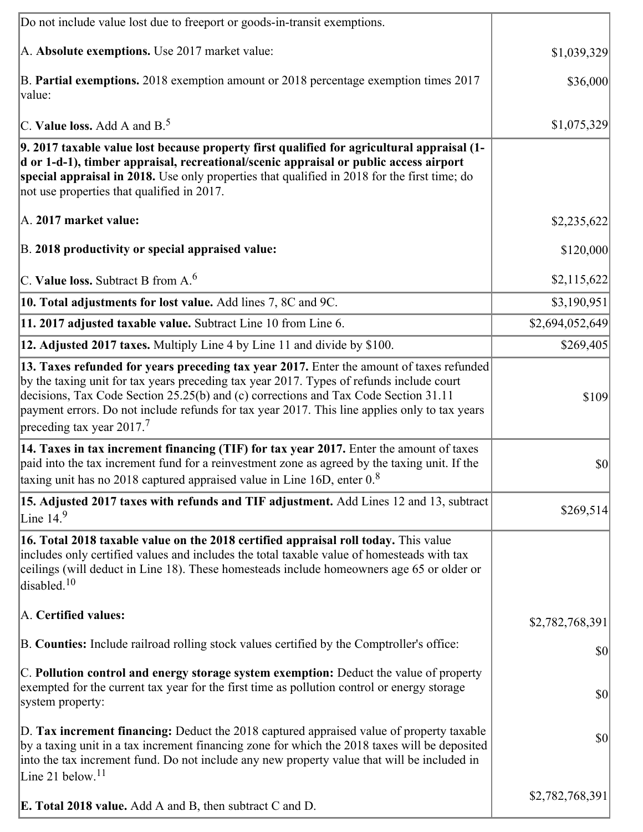| Do not include value lost due to freeport or goods-in-transit exemptions.                                                                                                                                                                                                                                                                                                                                                |                 |
|--------------------------------------------------------------------------------------------------------------------------------------------------------------------------------------------------------------------------------------------------------------------------------------------------------------------------------------------------------------------------------------------------------------------------|-----------------|
| A. Absolute exemptions. Use 2017 market value:                                                                                                                                                                                                                                                                                                                                                                           | \$1,039,329     |
| B. Partial exemptions. 2018 exemption amount or 2018 percentage exemption times 2017<br>value:                                                                                                                                                                                                                                                                                                                           | \$36,000        |
| C. Value loss. Add A and $B^5$                                                                                                                                                                                                                                                                                                                                                                                           | \$1,075,329     |
| 9. 2017 taxable value lost because property first qualified for agricultural appraisal (1-<br>d or 1-d-1), timber appraisal, recreational/scenic appraisal or public access airport<br>special appraisal in 2018. Use only properties that qualified in 2018 for the first time; do<br>not use properties that qualified in 2017.                                                                                        |                 |
| A. 2017 market value:                                                                                                                                                                                                                                                                                                                                                                                                    | \$2,235,622     |
| B. 2018 productivity or special appraised value:                                                                                                                                                                                                                                                                                                                                                                         | \$120,000       |
| C. Value loss. Subtract B from $A6$                                                                                                                                                                                                                                                                                                                                                                                      | \$2,115,622     |
| 10. Total adjustments for lost value. Add lines 7, 8C and 9C.                                                                                                                                                                                                                                                                                                                                                            | \$3,190,951     |
| 11. 2017 adjusted taxable value. Subtract Line 10 from Line 6.                                                                                                                                                                                                                                                                                                                                                           | \$2,694,052,649 |
| 12. Adjusted 2017 taxes. Multiply Line 4 by Line 11 and divide by \$100.                                                                                                                                                                                                                                                                                                                                                 | \$269,405       |
| 13. Taxes refunded for years preceding tax year 2017. Enter the amount of taxes refunded<br>by the taxing unit for tax years preceding tax year 2017. Types of refunds include court<br>decisions, Tax Code Section 25.25(b) and (c) corrections and Tax Code Section 31.11<br>payment errors. Do not include refunds for tax year 2017. This line applies only to tax years<br>preceding tax year $2017$ . <sup>7</sup> | \$109           |
| 14. Taxes in tax increment financing (TIF) for tax year 2017. Enter the amount of taxes<br>paid into the tax increment fund for a reinvestment zone as agreed by the taxing unit. If the<br>taxing unit has no 2018 captured appraised value in Line 16D, enter $08$                                                                                                                                                     | \$0             |
|                                                                                                                                                                                                                                                                                                                                                                                                                          |                 |
| 15. Adjusted 2017 taxes with refunds and TIF adjustment. Add Lines 12 and 13, subtract<br>Line $14.9$                                                                                                                                                                                                                                                                                                                    | \$269,514       |
| 16. Total 2018 taxable value on the 2018 certified appraisal roll today. This value<br>includes only certified values and includes the total taxable value of homesteads with tax<br>ceilings (will deduct in Line 18). These homesteads include homeowners age 65 or older or<br>disabled. <sup>10</sup>                                                                                                                |                 |
| A. Certified values:                                                                                                                                                                                                                                                                                                                                                                                                     | \$2,782,768,391 |
| B. Counties: Include railroad rolling stock values certified by the Comptroller's office:                                                                                                                                                                                                                                                                                                                                | \$0             |
| C. Pollution control and energy storage system exemption: Deduct the value of property<br>exempted for the current tax year for the first time as pollution control or energy storage<br>system property:                                                                                                                                                                                                                | \$0             |
| D. Tax increment financing: Deduct the 2018 captured appraised value of property taxable<br>by a taxing unit in a tax increment financing zone for which the 2018 taxes will be deposited<br>into the tax increment fund. Do not include any new property value that will be included in<br>Line 21 below. $11$                                                                                                          | \$0             |
| <b>E. Total 2018 value.</b> Add A and B, then subtract C and D.                                                                                                                                                                                                                                                                                                                                                          | \$2,782,768,391 |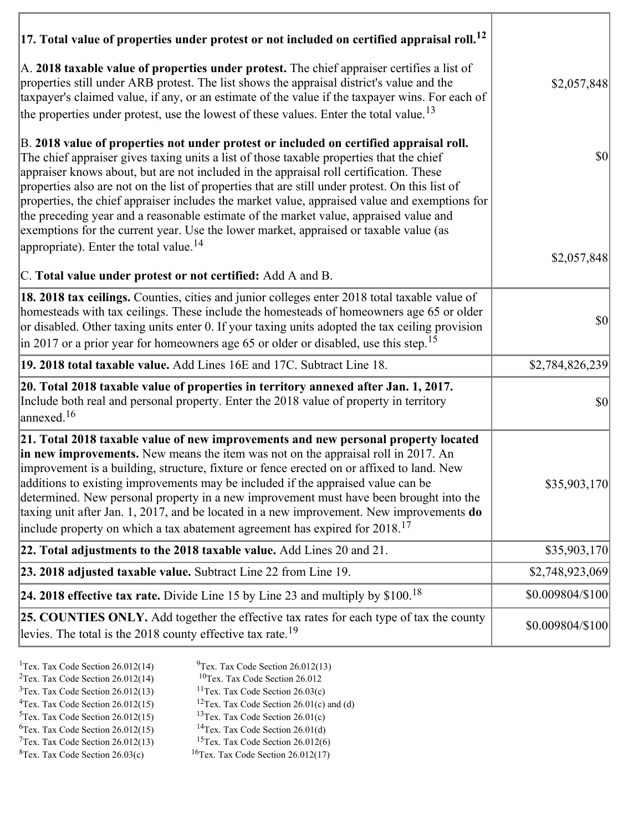| $ 17$ . Total value of properties under protest or not included on certified appraisal roll. <sup>12</sup>                                                                                                                                                                                                                                                                                                                                                                                                                                                                                                                                                                                                               |                                     |
|--------------------------------------------------------------------------------------------------------------------------------------------------------------------------------------------------------------------------------------------------------------------------------------------------------------------------------------------------------------------------------------------------------------------------------------------------------------------------------------------------------------------------------------------------------------------------------------------------------------------------------------------------------------------------------------------------------------------------|-------------------------------------|
| A. 2018 taxable value of properties under protest. The chief appraiser certifies a list of<br>properties still under ARB protest. The list shows the appraisal district's value and the<br>taxpayer's claimed value, if any, or an estimate of the value if the taxpayer wins. For each of<br>the properties under protest, use the lowest of these values. Enter the total value. <sup>13</sup>                                                                                                                                                                                                                                                                                                                         | \$2,057,848                         |
| B. 2018 value of properties not under protest or included on certified appraisal roll.<br>The chief appraiser gives taxing units a list of those taxable properties that the chief<br>appraiser knows about, but are not included in the appraisal roll certification. These<br>properties also are not on the list of properties that are still under protest. On this list of<br>properties, the chief appraiser includes the market value, appraised value and exemptions for<br>the preceding year and a reasonable estimate of the market value, appraised value and<br>exemptions for the current year. Use the lower market, appraised or taxable value (as<br>appropriate). Enter the total value. <sup>14</sup> | $\vert \mathbf{S} \mathbf{0} \vert$ |
| C. Total value under protest or not certified: Add A and B.                                                                                                                                                                                                                                                                                                                                                                                                                                                                                                                                                                                                                                                              | \$2,057,848                         |
| 18. 2018 tax ceilings. Counties, cities and junior colleges enter 2018 total taxable value of<br>homesteads with tax ceilings. These include the homesteads of homeowners age 65 or older<br>or disabled. Other taxing units enter 0. If your taxing units adopted the tax ceiling provision<br>in 2017 or a prior year for homeowners age 65 or older or disabled, use this step. <sup>15</sup>                                                                                                                                                                                                                                                                                                                         | $\vert \mathbf{S} \mathbf{0} \vert$ |
| 19. 2018 total taxable value. Add Lines 16E and 17C. Subtract Line 18.                                                                                                                                                                                                                                                                                                                                                                                                                                                                                                                                                                                                                                                   | \$2,784,826,239                     |
| 20. Total 2018 taxable value of properties in territory annexed after Jan. 1, 2017.<br>Include both real and personal property. Enter the 2018 value of property in territory<br>annexed. <sup>16</sup>                                                                                                                                                                                                                                                                                                                                                                                                                                                                                                                  | $ 10\rangle$                        |
| 21. Total 2018 taxable value of new improvements and new personal property located<br>in new improvements. New means the item was not on the appraisal roll in 2017. An<br>improvement is a building, structure, fixture or fence erected on or affixed to land. New<br>additions to existing improvements may be included if the appraised value can be<br>determined. New personal property in a new improvement must have been brought into the<br>taxing unit after Jan. 1, 2017, and be located in a new improvement. New improvements do<br>include property on which a tax abatement agreement has expired for $2018$ . <sup>17</sup>                                                                             | \$35,903,170]                       |
| 22. Total adjustments to the 2018 taxable value. Add Lines 20 and 21.                                                                                                                                                                                                                                                                                                                                                                                                                                                                                                                                                                                                                                                    | \$35,903,170                        |
| 23. 2018 adjusted taxable value. Subtract Line 22 from Line 19.                                                                                                                                                                                                                                                                                                                                                                                                                                                                                                                                                                                                                                                          | \$2,748,923,069                     |
| 24. 2018 effective tax rate. Divide Line 15 by Line 23 and multiply by \$100. <sup>18</sup>                                                                                                                                                                                                                                                                                                                                                                                                                                                                                                                                                                                                                              | \$0.009804/\$100                    |
| 25. COUNTIES ONLY. Add together the effective tax rates for each type of tax the county<br>levies. The total is the 2018 county effective tax rate. <sup>19</sup>                                                                                                                                                                                                                                                                                                                                                                                                                                                                                                                                                        | \$0.009804/\$100                    |

- 
- <sup>1</sup>Tex. Tax Code Section 26.012(14) <sup>9</sup>Tex. Tax Code Section 26.012(13) <sup>9</sup>Tex. Tax Code Section 26.012
- <sup>2</sup>Tex. Tax Code Section 26.012(14) <sup>10</sup>Tex. Tax Code Section 26.012<br><sup>3</sup>Tex. Tax Code Section 26.03(c) <sup>11</sup>Tex. Tax Code Section 26.03(c)
- ${}^{3}$ Tex. Tax Code Section 26.012(13)<br> ${}^{4}$ Tex. Tax Code Section 26.012(15)
- 
- 
- <sup>12</sup>Tex. Tax Code Section 26.01(c) and (d) <sup>13</sup>Tex. Tax Code Section 26.01(c) <sup>5</sup>Tex. Tax Code Section 26.012(15) <sup>13</sup>Tex. Tax Code Section 26.01(c)<br><sup>6</sup>Tex. Tax Code Section 26.012(15) <sup>14</sup>Tex. Tax Code Section 26.01(d)
	-
- <sup>6</sup>Tex. Tax Code Section 26.012(15) <sup>14</sup>Tex. Tax Code Section 26.01(d)<br><sup>7</sup>Tex. Tax Code Section 26.012(13) <sup>15</sup>Tex. Tax Code Section 26.012(6)
- $7$ Tex. Tax Code Section 26.012(13)<br><sup>8</sup>Tex. Tax Code Section 26.03(c)  $16$ Tex. Tax Code Section 26.012(17)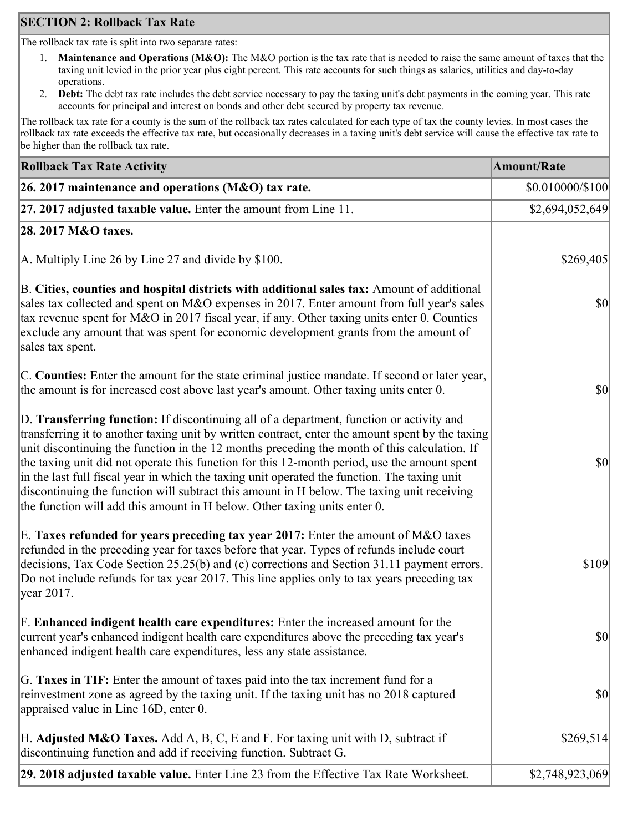# **SECTION 2: Rollback Tax Rate**

The rollback tax rate is split into two separate rates:

- 1. **Maintenance and Operations (M&O):** The M&O portion is the tax rate that is needed to raise the same amount of taxes that the taxing unit levied in the prior year plus eight percent. This rate accounts for such things as salaries, utilities and day-to-day operations.
- 2. **Debt:** The debt tax rate includes the debt service necessary to pay the taxing unit's debt payments in the coming year. This rate accounts for principal and interest on bonds and other debt secured by property tax revenue.

The rollback tax rate for a county is the sum of the rollback tax rates calculated for each type of tax the county levies. In most cases the rollback tax rate exceeds the effective tax rate, but occasionally decreases in a taxing unit's debt service will cause the effective tax rate to be higher than the rollback tax rate.

| <b>Rollback Tax Rate Activity</b>                                                                                                                                                                                                                                                                                                                                                                                                                                                                                                                                                                                                                                       | <b>Amount/Rate</b> |
|-------------------------------------------------------------------------------------------------------------------------------------------------------------------------------------------------------------------------------------------------------------------------------------------------------------------------------------------------------------------------------------------------------------------------------------------------------------------------------------------------------------------------------------------------------------------------------------------------------------------------------------------------------------------------|--------------------|
| 26. 2017 maintenance and operations (M&O) tax rate.                                                                                                                                                                                                                                                                                                                                                                                                                                                                                                                                                                                                                     | \$0.010000/\$100   |
| 27. 2017 adjusted taxable value. Enter the amount from Line 11.                                                                                                                                                                                                                                                                                                                                                                                                                                                                                                                                                                                                         | \$2,694,052,649    |
| 28. 2017 M&O taxes.                                                                                                                                                                                                                                                                                                                                                                                                                                                                                                                                                                                                                                                     |                    |
| A. Multiply Line 26 by Line 27 and divide by $$100$ .                                                                                                                                                                                                                                                                                                                                                                                                                                                                                                                                                                                                                   | \$269,405          |
| B. Cities, counties and hospital districts with additional sales tax: Amount of additional<br>sales tax collected and spent on M&O expenses in 2017. Enter amount from full year's sales<br>tax revenue spent for M&O in 2017 fiscal year, if any. Other taxing units enter 0. Counties<br>exclude any amount that was spent for economic development grants from the amount of<br>sales tax spent.                                                                                                                                                                                                                                                                     | $ 10\rangle$       |
| C. Counties: Enter the amount for the state criminal justice mandate. If second or later year,<br>the amount is for increased cost above last year's amount. Other taxing units enter 0.                                                                                                                                                                                                                                                                                                                                                                                                                                                                                | $ 10\rangle$       |
| D. Transferring function: If discontinuing all of a department, function or activity and<br>transferring it to another taxing unit by written contract, enter the amount spent by the taxing<br>unit discontinuing the function in the 12 months preceding the month of this calculation. If<br>the taxing unit did not operate this function for this 12-month period, use the amount spent<br>in the last full fiscal year in which the taxing unit operated the function. The taxing unit<br>discontinuing the function will subtract this amount in H below. The taxing unit receiving<br>the function will add this amount in H below. Other taxing units enter 0. | $ 10\rangle$       |
| E. Taxes refunded for years preceding tax year 2017: Enter the amount of M&O taxes<br>refunded in the preceding year for taxes before that year. Types of refunds include court<br>decisions, Tax Code Section 25.25(b) and (c) corrections and Section 31.11 payment errors.<br>Do not include refunds for tax year 2017. This line applies only to tax years preceding tax<br> year 2017.                                                                                                                                                                                                                                                                             | \$109              |
| F. Enhanced indigent health care expenditures: Enter the increased amount for the<br>current year's enhanced indigent health care expenditures above the preceding tax year's<br>enhanced indigent health care expenditures, less any state assistance.                                                                                                                                                                                                                                                                                                                                                                                                                 | $ 10\rangle$       |
| G. Taxes in TIF: Enter the amount of taxes paid into the tax increment fund for a<br>reinvestment zone as agreed by the taxing unit. If the taxing unit has no 2018 captured<br>appraised value in Line 16D, enter 0.                                                                                                                                                                                                                                                                                                                                                                                                                                                   | $ 10\rangle$       |
| H. Adjusted M&O Taxes. Add A, B, C, E and F. For taxing unit with D, subtract if<br>discontinuing function and add if receiving function. Subtract G.                                                                                                                                                                                                                                                                                                                                                                                                                                                                                                                   | \$269,514          |
| 29. 2018 adjusted taxable value. Enter Line 23 from the Effective Tax Rate Worksheet.                                                                                                                                                                                                                                                                                                                                                                                                                                                                                                                                                                                   | \$2,748,923,069    |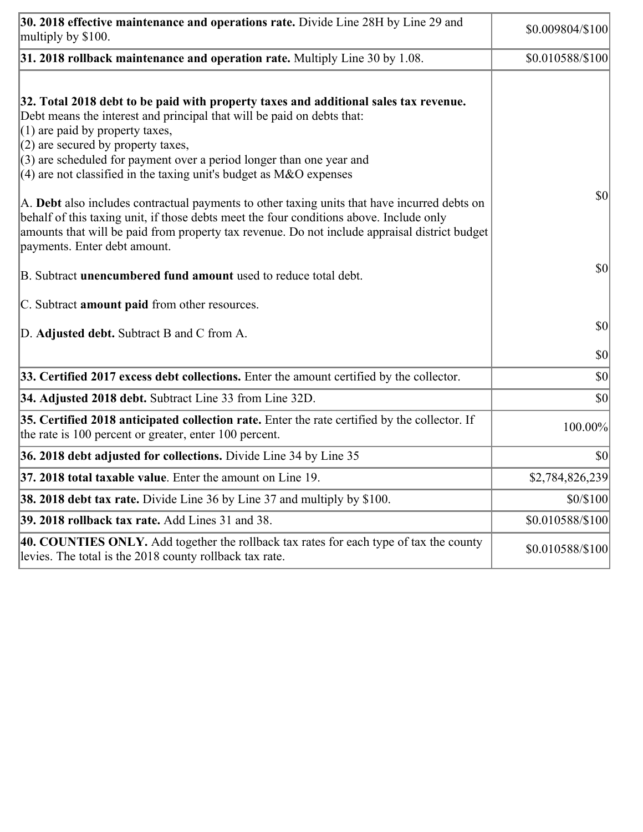| 30. 2018 effective maintenance and operations rate. Divide Line 28H by Line 29 and<br>multiply by \$100.                                                                                                                                                                                                                                                                                      | \$0.009804/\$100 |
|-----------------------------------------------------------------------------------------------------------------------------------------------------------------------------------------------------------------------------------------------------------------------------------------------------------------------------------------------------------------------------------------------|------------------|
| $31.2018$ rollback maintenance and operation rate. Multiply Line 30 by 1.08.                                                                                                                                                                                                                                                                                                                  | \$0.010588/\$100 |
| 32. Total 2018 debt to be paid with property taxes and additional sales tax revenue.<br>Debt means the interest and principal that will be paid on debts that:<br>$(1)$ are paid by property taxes,<br>$(2)$ are secured by property taxes,<br>$(3)$ are scheduled for payment over a period longer than one year and<br>$(4)$ are not classified in the taxing unit's budget as M&O expenses |                  |
| A. Debt also includes contractual payments to other taxing units that have incurred debts on<br>behalf of this taxing unit, if those debts meet the four conditions above. Include only<br>amounts that will be paid from property tax revenue. Do not include appraisal district budget<br>payments. Enter debt amount.                                                                      | \$0              |
| B. Subtract unencumbered fund amount used to reduce total debt.                                                                                                                                                                                                                                                                                                                               | \$0              |
| C. Subtract amount paid from other resources.                                                                                                                                                                                                                                                                                                                                                 |                  |
| D. Adjusted debt. Subtract B and C from A.                                                                                                                                                                                                                                                                                                                                                    | \$0              |
|                                                                                                                                                                                                                                                                                                                                                                                               | \$0              |
| 33. Certified 2017 excess debt collections. Enter the amount certified by the collector.                                                                                                                                                                                                                                                                                                      | \$0              |
| 34. Adjusted 2018 debt. Subtract Line 33 from Line 32D.                                                                                                                                                                                                                                                                                                                                       | \$0              |
| 35. Certified 2018 anticipated collection rate. Enter the rate certified by the collector. If<br>the rate is 100 percent or greater, enter 100 percent.                                                                                                                                                                                                                                       | 100.00%          |
| 36. 2018 debt adjusted for collections. Divide Line 34 by Line 35                                                                                                                                                                                                                                                                                                                             | \$0              |
| 37. 2018 total taxable value. Enter the amount on Line 19.                                                                                                                                                                                                                                                                                                                                    | \$2,784,826,239  |
| <b>38. 2018 debt tax rate.</b> Divide Line 36 by Line 37 and multiply by \$100.                                                                                                                                                                                                                                                                                                               | \$0/\$100        |
| 39. 2018 rollback tax rate. Add Lines 31 and 38.                                                                                                                                                                                                                                                                                                                                              | \$0.010588/\$100 |
| 40. COUNTIES ONLY. Add together the rollback tax rates for each type of tax the county<br>levies. The total is the 2018 county rollback tax rate.                                                                                                                                                                                                                                             | \$0.010588/\$100 |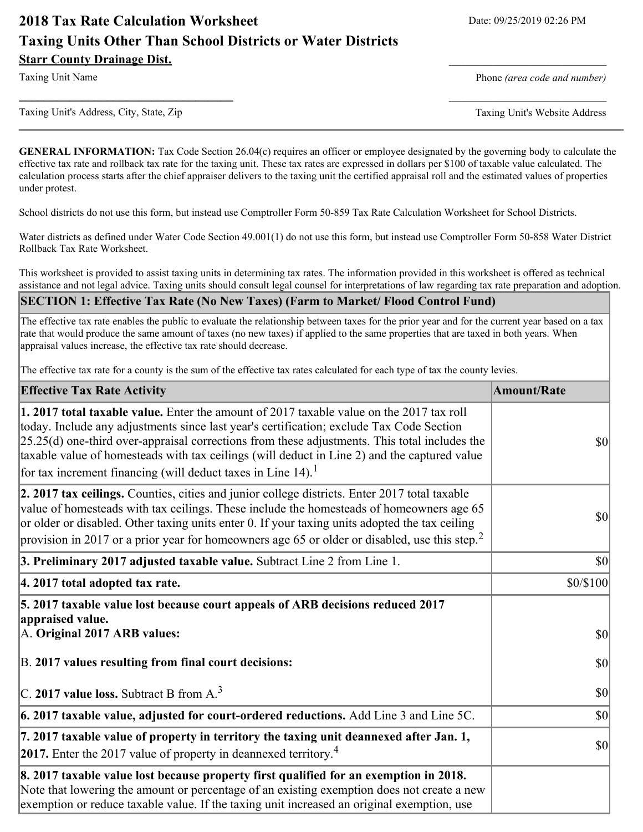# **2018 Tax Rate Calculation Worksheet** Date: 09/25/2019 02:26 PM **Taxing Units Other Than School Districts or Water Districts Starr County Drainage Dist.**

Taxing Unit Name **Phone** *(area code and number)* Phone *(area code and number)* 

Taxing Unit's Address, City, State, Zip Taxing Unit's Website Address

**GENERAL INFORMATION:** Tax Code Section 26.04(c) requires an officer or employee designated by the governing body to calculate the effective tax rate and rollback tax rate for the taxing unit. These tax rates are expressed in dollars per \$100 of taxable value calculated. The calculation process starts after the chief appraiser delivers to the taxing unit the certified appraisal roll and the estimated values of properties under protest.

**\_\_\_\_\_\_\_\_\_\_\_\_\_\_\_\_\_\_\_\_\_\_\_\_\_\_\_\_\_\_\_\_\_\_** \_\_\_\_\_\_\_\_\_\_\_\_\_\_\_\_\_\_\_\_\_\_\_\_\_

School districts do not use this form, but instead use Comptroller Form 50-859 Tax Rate Calculation Worksheet for School Districts.

Water districts as defined under Water Code Section 49.001(1) do not use this form, but instead use Comptroller Form 50-858 Water District Rollback Tax Rate Worksheet.

This worksheet is provided to assist taxing units in determining tax rates. The information provided in this worksheet is offered as technical assistance and not legal advice. Taxing units should consult legal counsel for interpretations of law regarding tax rate preparation and adoption.

#### **SECTION 1: Effective Tax Rate (No New Taxes) (Farm to Market/ Flood Control Fund)**

The effective tax rate enables the public to evaluate the relationship between taxes for the prior year and for the current year based on a tax rate that would produce the same amount of taxes (no new taxes) if applied to the same properties that are taxed in both years. When appraisal values increase, the effective tax rate should decrease.

The effective tax rate for a county is the sum of the effective tax rates calculated for each type of tax the county levies.

| <b>Effective Tax Rate Activity</b>                                                                                                                                                                                                                                                                                                                                                                                                                                      | <b>Amount/Rate</b> |
|-------------------------------------------------------------------------------------------------------------------------------------------------------------------------------------------------------------------------------------------------------------------------------------------------------------------------------------------------------------------------------------------------------------------------------------------------------------------------|--------------------|
| 1. 2017 total taxable value. Enter the amount of 2017 taxable value on the 2017 tax roll<br>today. Include any adjustments since last year's certification; exclude Tax Code Section<br>$[25.25(d)$ one-third over-appraisal corrections from these adjustments. This total includes the<br>taxable value of homesteads with tax ceilings (will deduct in Line 2) and the captured value<br>for tax increment financing (will deduct taxes in Line $14$ ). <sup>1</sup> | <b>\$0</b>         |
| 2. 2017 tax ceilings. Counties, cities and junior college districts. Enter 2017 total taxable<br>value of homesteads with tax ceilings. These include the homesteads of homeowners age 65<br>or older or disabled. Other taxing units enter 0. If your taxing units adopted the tax ceiling<br>provision in 2017 or a prior year for homeowners age 65 or older or disabled, use this step. <sup>2</sup>                                                                | $ 10\rangle$       |
| 3. Preliminary 2017 adjusted taxable value. Subtract Line 2 from Line 1.                                                                                                                                                                                                                                                                                                                                                                                                | $ 10\rangle$       |
| 4. 2017 total adopted tax rate.                                                                                                                                                                                                                                                                                                                                                                                                                                         | \$0/\$100          |
| 5. 2017 taxable value lost because court appeals of ARB decisions reduced 2017<br>appraised value.                                                                                                                                                                                                                                                                                                                                                                      |                    |
| A. Original 2017 ARB values:                                                                                                                                                                                                                                                                                                                                                                                                                                            | $ 10\rangle$       |
| B. 2017 values resulting from final court decisions:                                                                                                                                                                                                                                                                                                                                                                                                                    | $ 10\rangle$       |
| C. 2017 value loss. Subtract B from $A3$                                                                                                                                                                                                                                                                                                                                                                                                                                | $ 10\rangle$       |
| $\vert$ 6. 2017 taxable value, adjusted for court-ordered reductions. Add Line 3 and Line 5C.                                                                                                                                                                                                                                                                                                                                                                           | $ 10\rangle$       |
| 7. 2017 taxable value of property in territory the taxing unit deannexed after Jan. 1,<br>2017. Enter the 2017 value of property in deannexed territory. <sup>4</sup>                                                                                                                                                                                                                                                                                                   | $ 10\rangle$       |
| 8. 2017 taxable value lost because property first qualified for an exemption in 2018.<br>Note that lowering the amount or percentage of an existing exemption does not create a new<br>exemption or reduce taxable value. If the taxing unit increased an original exemption, use                                                                                                                                                                                       |                    |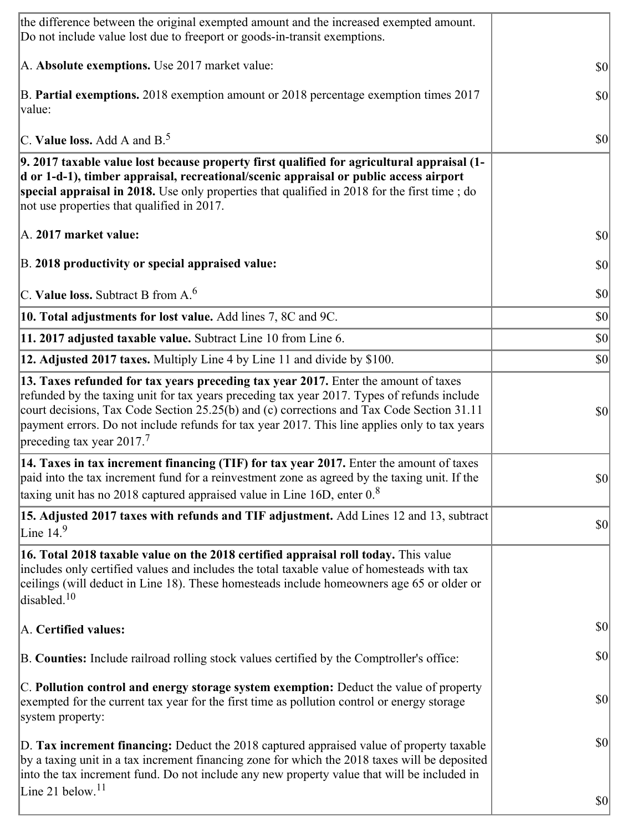| the difference between the original exempted amount and the increased exempted amount.<br>Do not include value lost due to freeport or goods-in-transit exemptions.                                                                                                                                                                                                                                                          |              |
|------------------------------------------------------------------------------------------------------------------------------------------------------------------------------------------------------------------------------------------------------------------------------------------------------------------------------------------------------------------------------------------------------------------------------|--------------|
| A. Absolute exemptions. Use 2017 market value:                                                                                                                                                                                                                                                                                                                                                                               | 30           |
| B. Partial exemptions. 2018 exemption amount or 2018 percentage exemption times 2017<br>value:                                                                                                                                                                                                                                                                                                                               | $ 10\rangle$ |
| C. Value loss. Add A and $B^5$ .                                                                                                                                                                                                                                                                                                                                                                                             | \$0          |
| 9. 2017 taxable value lost because property first qualified for agricultural appraisal (1-<br>d or 1-d-1), timber appraisal, recreational/scenic appraisal or public access airport<br>special appraisal in 2018. Use only properties that qualified in 2018 for the first time; do<br>not use properties that qualified in 2017.                                                                                            |              |
| A. 2017 market value:                                                                                                                                                                                                                                                                                                                                                                                                        | 30           |
| B. 2018 productivity or special appraised value:                                                                                                                                                                                                                                                                                                                                                                             | \$0          |
| C. Value loss. Subtract B from $A6$                                                                                                                                                                                                                                                                                                                                                                                          | \$0          |
| 10. Total adjustments for lost value. Add lines 7, 8C and 9C.                                                                                                                                                                                                                                                                                                                                                                | \$0          |
| 11. 2017 adjusted taxable value. Subtract Line 10 from Line 6.                                                                                                                                                                                                                                                                                                                                                               | \$0          |
| 12. Adjusted 2017 taxes. Multiply Line 4 by Line 11 and divide by \$100.                                                                                                                                                                                                                                                                                                                                                     | \$0          |
| 13. Taxes refunded for tax years preceding tax year 2017. Enter the amount of taxes<br>refunded by the taxing unit for tax years preceding tax year 2017. Types of refunds include<br>court decisions, Tax Code Section 25.25(b) and (c) corrections and Tax Code Section 31.11<br>payment errors. Do not include refunds for tax year 2017. This line applies only to tax years<br>preceding tax year $2017$ . <sup>7</sup> | $ 10\rangle$ |
| 14. Taxes in tax increment financing (TIF) for tax year 2017. Enter the amount of taxes<br>paid into the tax increment fund for a reinvestment zone as agreed by the taxing unit. If the<br>taxing unit has no 2018 captured appraised value in Line 16D, enter $0.8$                                                                                                                                                        | $ 10\rangle$ |
| 15. Adjusted 2017 taxes with refunds and TIF adjustment. Add Lines 12 and 13, subtract<br>Line $149$                                                                                                                                                                                                                                                                                                                         | $ 10\rangle$ |
| 16. Total 2018 taxable value on the 2018 certified appraisal roll today. This value<br>includes only certified values and includes the total taxable value of homesteads with tax<br>ceilings (will deduct in Line 18). These homesteads include homeowners age 65 or older or<br>disabled. <sup>10</sup>                                                                                                                    |              |
| A. Certified values:                                                                                                                                                                                                                                                                                                                                                                                                         | $ 10\rangle$ |
| B. Counties: Include railroad rolling stock values certified by the Comptroller's office:                                                                                                                                                                                                                                                                                                                                    | $ 10\rangle$ |
| C. Pollution control and energy storage system exemption: Deduct the value of property<br>exempted for the current tax year for the first time as pollution control or energy storage<br>system property:                                                                                                                                                                                                                    | \$0          |
| D. Tax increment financing: Deduct the 2018 captured appraised value of property taxable<br>by a taxing unit in a tax increment financing zone for which the 2018 taxes will be deposited<br>into the tax increment fund. Do not include any new property value that will be included in<br>Line 21 below. <sup>11</sup>                                                                                                     | \$0          |
|                                                                                                                                                                                                                                                                                                                                                                                                                              | $ 10\rangle$ |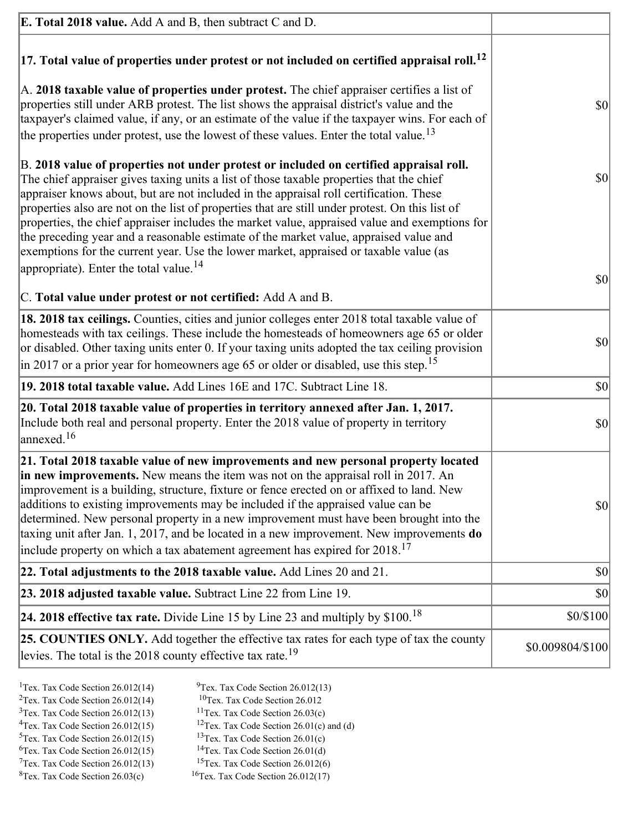| <b>E. Total 2018 value.</b> Add A and B, then subtract C and D.                                                                                                                                                                                                                                                                                                                                                                                                                                                                                                                                                                                                                                                          |                  |
|--------------------------------------------------------------------------------------------------------------------------------------------------------------------------------------------------------------------------------------------------------------------------------------------------------------------------------------------------------------------------------------------------------------------------------------------------------------------------------------------------------------------------------------------------------------------------------------------------------------------------------------------------------------------------------------------------------------------------|------------------|
| $ 17$ . Total value of properties under protest or not included on certified appraisal roll. <sup>12</sup>                                                                                                                                                                                                                                                                                                                                                                                                                                                                                                                                                                                                               |                  |
| A. 2018 taxable value of properties under protest. The chief appraiser certifies a list of<br>properties still under ARB protest. The list shows the appraisal district's value and the<br>taxpayer's claimed value, if any, or an estimate of the value if the taxpayer wins. For each of<br>the properties under protest, use the lowest of these values. Enter the total value. <sup>13</sup>                                                                                                                                                                                                                                                                                                                         | <b>\$0</b>       |
| B. 2018 value of properties not under protest or included on certified appraisal roll.<br>The chief appraiser gives taxing units a list of those taxable properties that the chief<br>appraiser knows about, but are not included in the appraisal roll certification. These<br>properties also are not on the list of properties that are still under protest. On this list of<br>properties, the chief appraiser includes the market value, appraised value and exemptions for<br>the preceding year and a reasonable estimate of the market value, appraised value and<br>exemptions for the current year. Use the lower market, appraised or taxable value (as<br>appropriate). Enter the total value. <sup>14</sup> | $ 10\rangle$     |
| C. Total value under protest or not certified: Add A and B.                                                                                                                                                                                                                                                                                                                                                                                                                                                                                                                                                                                                                                                              | $ 10\rangle$     |
| 18. 2018 tax ceilings. Counties, cities and junior colleges enter 2018 total taxable value of<br>homesteads with tax ceilings. These include the homesteads of homeowners age 65 or older<br>or disabled. Other taxing units enter 0. If your taxing units adopted the tax ceiling provision<br>$\vert$ in 2017 or a prior year for homeowners age 65 or older or disabled, use this step. <sup>15</sup>                                                                                                                                                                                                                                                                                                                 | $ 10\rangle$     |
| 19. 2018 total taxable value. Add Lines 16E and 17C. Subtract Line 18.                                                                                                                                                                                                                                                                                                                                                                                                                                                                                                                                                                                                                                                   | $ 10\rangle$     |
| 20. Total 2018 taxable value of properties in territory annexed after Jan. 1, 2017.<br>Include both real and personal property. Enter the 2018 value of property in territory<br>$\alpha$ annexed. <sup>16</sup>                                                                                                                                                                                                                                                                                                                                                                                                                                                                                                         | $ 10\rangle$     |
| 21. Total 2018 taxable value of new improvements and new personal property located<br>in new improvements. New means the item was not on the appraisal roll in 2017. An<br>improvement is a building, structure, fixture or fence erected on or affixed to land. New<br>additions to existing improvements may be included if the appraised value can be<br>determined. New personal property in a new improvement must have been brought into the<br>taxing unit after Jan. 1, 2017, and be located in a new improvement. New improvements do<br>include property on which a tax abatement agreement has expired for $2018$ . <sup>17</sup>                                                                             | <b>\$0</b>       |
| 22. Total adjustments to the 2018 taxable value. Add Lines 20 and 21.                                                                                                                                                                                                                                                                                                                                                                                                                                                                                                                                                                                                                                                    | \$0              |
| 23. 2018 adjusted taxable value. Subtract Line 22 from Line 19.                                                                                                                                                                                                                                                                                                                                                                                                                                                                                                                                                                                                                                                          | \$0              |
| 24. 2018 effective tax rate. Divide Line 15 by Line 23 and multiply by $$100$ . <sup>18</sup>                                                                                                                                                                                                                                                                                                                                                                                                                                                                                                                                                                                                                            | \$0/\$100        |
| 25. COUNTIES ONLY. Add together the effective tax rates for each type of tax the county<br>levies. The total is the 2018 county effective tax rate. <sup>19</sup>                                                                                                                                                                                                                                                                                                                                                                                                                                                                                                                                                        | \$0.009804/\$100 |

- <sup>1</sup>Tex. Tax Code Section 26.012(14) <sup>9</sup>Tex. Tax Code Section 26.012(13) <sup>9</sup>Tex. Tax Code Section 26.012
	-
- <sup>2</sup>Tex. Tax Code Section 26.012(14)<br><sup>3</sup>Tex. Tax Code Section 26.012(13)
- 
- <sup>3</sup>Tex. Tax Code Section 26.012(13) <sup>11</sup>Tex. Tax Code Section 26.03(c) <sup>4</sup>Tex. Tax Code Section 26.01(c) <sup>4</sup>Tex. Tax Code Section 26.012(15) <sup>12</sup>Tex. Tax Code Section 26.01(c) and (d)<br><sup>5</sup>Tex. Tax Code Section 26.012(15) <sup>13</sup>Tex. Tax Code Section 26.01(c)
	-
- 
- <sup>6</sup>Tex. Tax Code Section 26.012(15)<br><sup>7</sup>Tex. Tax Code Section 26.012(13)
- 
- <sup>13</sup>Tex. Tax Code Section 26.01(c) <sup>14</sup>Tex. Tax Code Section 26.01(d)
- <sup>7</sup>Tex. Tax Code Section 26.012(13) <sup>15</sup>Tex. Tax Code Section 26.012(6)<br><sup>8</sup>Tex. Tax Code Section 26.03(c) <sup>16</sup>Tex. Tax Code Section 26.012(17)
	- $16$ Tex. Tax Code Section 26.012(17)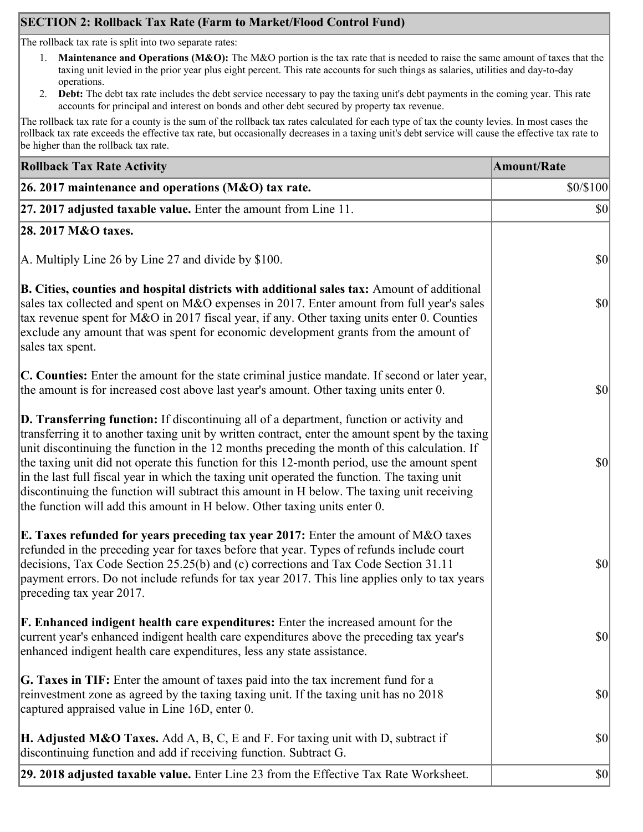# **SECTION 2: Rollback Tax Rate (Farm to Market/Flood Control Fund)**

The rollback tax rate is split into two separate rates:

- 1. **Maintenance and Operations (M&O):** The M&O portion is the tax rate that is needed to raise the same amount of taxes that the taxing unit levied in the prior year plus eight percent. This rate accounts for such things as salaries, utilities and day-to-day operations.
- 2. **Debt:** The debt tax rate includes the debt service necessary to pay the taxing unit's debt payments in the coming year. This rate accounts for principal and interest on bonds and other debt secured by property tax revenue.

The rollback tax rate for a county is the sum of the rollback tax rates calculated for each type of tax the county levies. In most cases the rollback tax rate exceeds the effective tax rate, but occasionally decreases in a taxing unit's debt service will cause the effective tax rate to be higher than the rollback tax rate.

| <b>Rollback Tax Rate Activity</b>                                                                                                                                                                                                                                                                                                                                                                                                                                                                                                                                                                                                                                       | <b>Amount/Rate</b> |
|-------------------------------------------------------------------------------------------------------------------------------------------------------------------------------------------------------------------------------------------------------------------------------------------------------------------------------------------------------------------------------------------------------------------------------------------------------------------------------------------------------------------------------------------------------------------------------------------------------------------------------------------------------------------------|--------------------|
| 26. 2017 maintenance and operations ( $M&O$ ) tax rate.                                                                                                                                                                                                                                                                                                                                                                                                                                                                                                                                                                                                                 | \$0/\$100          |
| 27. 2017 adjusted taxable value. Enter the amount from Line 11.                                                                                                                                                                                                                                                                                                                                                                                                                                                                                                                                                                                                         | $ 10\rangle$       |
| 28. 2017 M&O taxes.                                                                                                                                                                                                                                                                                                                                                                                                                                                                                                                                                                                                                                                     |                    |
| A. Multiply Line 26 by Line 27 and divide by \$100.                                                                                                                                                                                                                                                                                                                                                                                                                                                                                                                                                                                                                     | $ 10\rangle$       |
| B. Cities, counties and hospital districts with additional sales tax: Amount of additional<br>sales tax collected and spent on M&O expenses in 2017. Enter amount from full year's sales<br>tax revenue spent for M&O in 2017 fiscal year, if any. Other taxing units enter 0. Counties<br>exclude any amount that was spent for economic development grants from the amount of<br>sales tax spent.                                                                                                                                                                                                                                                                     | $ 10\rangle$       |
| C. Counties: Enter the amount for the state criminal justice mandate. If second or later year,<br>the amount is for increased cost above last year's amount. Other taxing units enter 0.                                                                                                                                                                                                                                                                                                                                                                                                                                                                                | $ 10\rangle$       |
| D. Transferring function: If discontinuing all of a department, function or activity and<br>transferring it to another taxing unit by written contract, enter the amount spent by the taxing<br>unit discontinuing the function in the 12 months preceding the month of this calculation. If<br>the taxing unit did not operate this function for this 12-month period, use the amount spent<br>in the last full fiscal year in which the taxing unit operated the function. The taxing unit<br>discontinuing the function will subtract this amount in H below. The taxing unit receiving<br>the function will add this amount in H below. Other taxing units enter 0. | $ 10\rangle$       |
| E. Taxes refunded for years preceding tax year 2017: Enter the amount of M&O taxes<br>refunded in the preceding year for taxes before that year. Types of refunds include court<br>decisions, Tax Code Section 25.25(b) and (c) corrections and Tax Code Section 31.11<br>payment errors. Do not include refunds for tax year 2017. This line applies only to tax years<br>preceding tax year 2017.                                                                                                                                                                                                                                                                     | \$0                |
| <b>F. Enhanced indigent health care expenditures:</b> Enter the increased amount for the<br>current year's enhanced indigent health care expenditures above the preceding tax year's<br>enhanced indigent health care expenditures, less any state assistance.                                                                                                                                                                                                                                                                                                                                                                                                          | $ 10\rangle$       |
| <b>G. Taxes in TIF:</b> Enter the amount of taxes paid into the tax increment fund for a<br>reinvestment zone as agreed by the taxing taxing unit. If the taxing unit has no 2018<br>captured appraised value in Line 16D, enter 0.                                                                                                                                                                                                                                                                                                                                                                                                                                     | $ 10\rangle$       |
| <b>H. Adjusted M&amp;O Taxes.</b> Add A, B, C, E and F. For taxing unit with D, subtract if<br>discontinuing function and add if receiving function. Subtract G.                                                                                                                                                                                                                                                                                                                                                                                                                                                                                                        | $ 10\rangle$       |
| 29. 2018 adjusted taxable value. Enter Line 23 from the Effective Tax Rate Worksheet.                                                                                                                                                                                                                                                                                                                                                                                                                                                                                                                                                                                   | $ 10\rangle$       |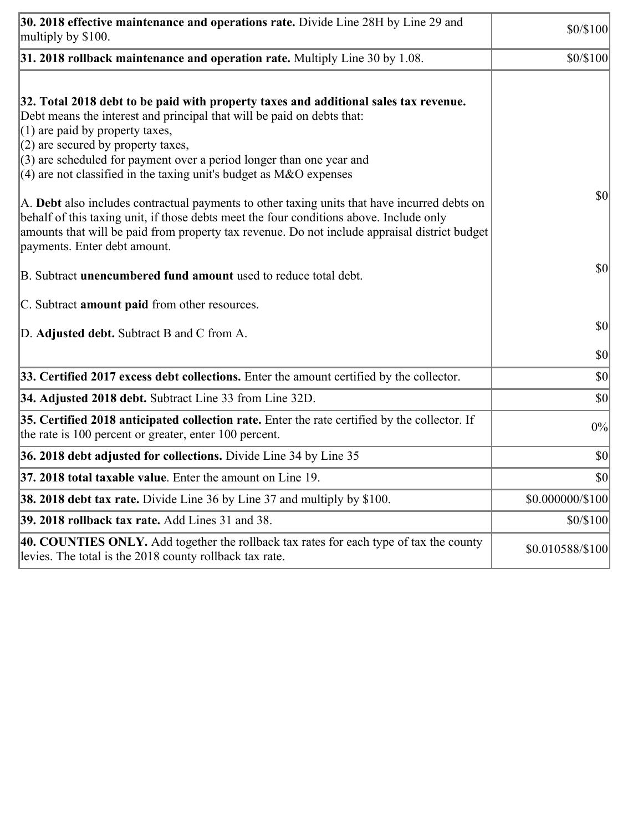| 30. 2018 effective maintenance and operations rate. Divide Line 28H by Line 29 and<br>multiply by \$100.                                                                                                                                                                                                                                                                                                                                                                                                                                                                                 | \$0/\$100        |
|------------------------------------------------------------------------------------------------------------------------------------------------------------------------------------------------------------------------------------------------------------------------------------------------------------------------------------------------------------------------------------------------------------------------------------------------------------------------------------------------------------------------------------------------------------------------------------------|------------------|
| $31.2018$ rollback maintenance and operation rate. Multiply Line 30 by 1.08.                                                                                                                                                                                                                                                                                                                                                                                                                                                                                                             | \$0/\$100        |
| 32. Total 2018 debt to be paid with property taxes and additional sales tax revenue.<br>Debt means the interest and principal that will be paid on debts that:<br>$(1)$ are paid by property taxes,<br>$(2)$ are secured by property taxes,<br>$(3)$ are scheduled for payment over a period longer than one year and<br>$(4)$ are not classified in the taxing unit's budget as M&O expenses<br>A. Debt also includes contractual payments to other taxing units that have incurred debts on<br>behalf of this taxing unit, if those debts meet the four conditions above. Include only | 30               |
| amounts that will be paid from property tax revenue. Do not include appraisal district budget<br>payments. Enter debt amount.<br>B. Subtract unencumbered fund amount used to reduce total debt.                                                                                                                                                                                                                                                                                                                                                                                         | \$0              |
| C. Subtract amount paid from other resources.                                                                                                                                                                                                                                                                                                                                                                                                                                                                                                                                            |                  |
| D. Adjusted debt. Subtract B and C from A.                                                                                                                                                                                                                                                                                                                                                                                                                                                                                                                                               | $ 10\rangle$     |
|                                                                                                                                                                                                                                                                                                                                                                                                                                                                                                                                                                                          | \$0              |
| 33. Certified 2017 excess debt collections. Enter the amount certified by the collector.                                                                                                                                                                                                                                                                                                                                                                                                                                                                                                 | \$0              |
| 34. Adjusted 2018 debt. Subtract Line 33 from Line 32D.                                                                                                                                                                                                                                                                                                                                                                                                                                                                                                                                  | \$0              |
| 35. Certified 2018 anticipated collection rate. Enter the rate certified by the collector. If<br>the rate is 100 percent or greater, enter 100 percent.                                                                                                                                                                                                                                                                                                                                                                                                                                  | 0%               |
| 36. 2018 debt adjusted for collections. Divide Line 34 by Line 35                                                                                                                                                                                                                                                                                                                                                                                                                                                                                                                        | $ 10\rangle$     |
| 37. 2018 total taxable value. Enter the amount on Line 19                                                                                                                                                                                                                                                                                                                                                                                                                                                                                                                                | $ 10\rangle$     |
| <b>38. 2018 debt tax rate.</b> Divide Line 36 by Line 37 and multiply by \$100.                                                                                                                                                                                                                                                                                                                                                                                                                                                                                                          | \$0.000000/\$100 |
| 39. 2018 rollback tax rate. Add Lines 31 and 38.                                                                                                                                                                                                                                                                                                                                                                                                                                                                                                                                         | \$0/\$100        |
| 40. COUNTIES ONLY. Add together the rollback tax rates for each type of tax the county<br>levies. The total is the 2018 county rollback tax rate.                                                                                                                                                                                                                                                                                                                                                                                                                                        | \$0.010588/\$100 |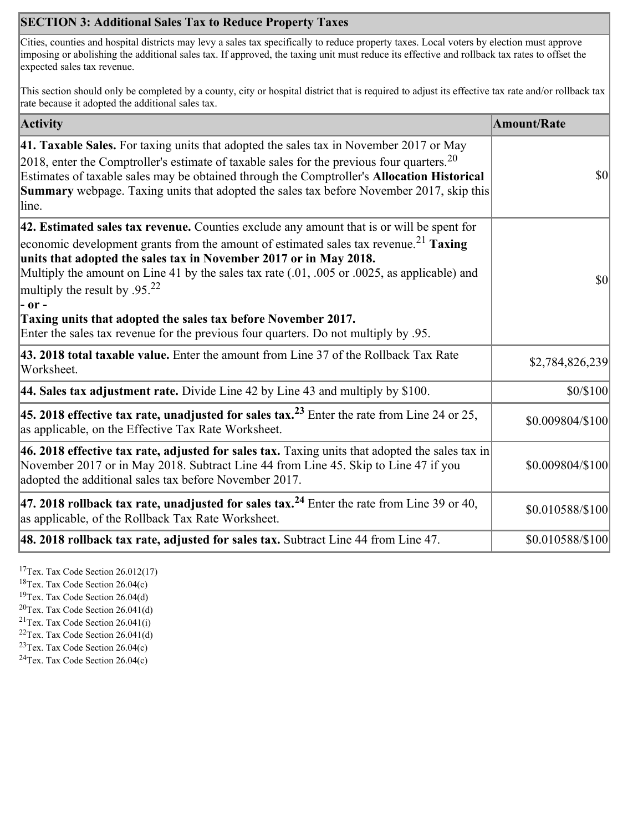# **SECTION 3: Additional Sales Tax to Reduce Property Taxes**

Cities, counties and hospital districts may levy a sales tax specifically to reduce property taxes. Local voters by election must approve imposing or abolishing the additional sales tax. If approved, the taxing unit must reduce its effective and rollback tax rates to offset the expected sales tax revenue.

This section should only be completed by a county, city or hospital district that is required to adjust its effective tax rate and/or rollback tax rate because it adopted the additional sales tax.

| <b>Activity</b>                                                                                                                                                                                                                                                                                                                                                                                                                                                                                                                                                                    | <b>Amount/Rate</b> |
|------------------------------------------------------------------------------------------------------------------------------------------------------------------------------------------------------------------------------------------------------------------------------------------------------------------------------------------------------------------------------------------------------------------------------------------------------------------------------------------------------------------------------------------------------------------------------------|--------------------|
| <b>41. Taxable Sales.</b> For taxing units that adopted the sales tax in November 2017 or May<br>[2018, enter the Comptroller's estimate of taxable sales for the previous four quarters. <sup>20</sup><br>Estimates of taxable sales may be obtained through the Comptroller's Allocation Historical<br><b>Summary</b> webpage. Taxing units that adopted the sales tax before November 2017, skip this<br>line.                                                                                                                                                                  | \$0                |
| 42. Estimated sales tax revenue. Counties exclude any amount that is or will be spent for<br>economic development grants from the amount of estimated sales tax revenue. <sup>21</sup> Taxing<br>units that adopted the sales tax in November 2017 or in May 2018.<br>Multiply the amount on Line 41 by the sales tax rate (.01, .005 or .0025, as applicable) and<br>multiply the result by .95. <sup>22</sup><br> - or -<br>Taxing units that adopted the sales tax before November 2017.<br>Enter the sales tax revenue for the previous four quarters. Do not multiply by .95. | \$0                |
| 43. 2018 total taxable value. Enter the amount from Line 37 of the Rollback Tax Rate<br>Worksheet.                                                                                                                                                                                                                                                                                                                                                                                                                                                                                 | \$2,784,826,239    |
| 44. Sales tax adjustment rate. Divide Line 42 by Line 43 and multiply by $$100$ .                                                                                                                                                                                                                                                                                                                                                                                                                                                                                                  | \$0/\$100          |
| 45. 2018 effective tax rate, unadjusted for sales tax. <sup>23</sup> Enter the rate from Line 24 or 25,<br>as applicable, on the Effective Tax Rate Worksheet.                                                                                                                                                                                                                                                                                                                                                                                                                     | \$0.009804/\$100   |
| 46. 2018 effective tax rate, adjusted for sales tax. Taxing units that adopted the sales tax in<br>November 2017 or in May 2018. Subtract Line 44 from Line 45. Skip to Line 47 if you<br>adopted the additional sales tax before November 2017.                                                                                                                                                                                                                                                                                                                                   | \$0.009804/\$100   |
| 47. 2018 rollback tax rate, unadjusted for sales tax. <sup>24</sup> Enter the rate from Line 39 or 40,<br>as applicable, of the Rollback Tax Rate Worksheet.                                                                                                                                                                                                                                                                                                                                                                                                                       | \$0.010588/\$100   |
| [48. 2018 rollback tax rate, adjusted for sales tax. Subtract Line 44 from Line 47.                                                                                                                                                                                                                                                                                                                                                                                                                                                                                                | \$0.010588/\$100   |

<sup>17</sup>Tex. Tax Code Section 26.012(17)

<sup>18</sup>Tex. Tax Code Section 26.04(c)

<sup>19</sup>Tex. Tax Code Section 26.04(d)

 $20$ Tex. Tax Code Section 26.041(d)

<sup>21</sup>Tex. Tax Code Section  $26.041(i)$ 

 $22$ Tex. Tax Code Section 26.041(d)

 $23$ Tex. Tax Code Section 26.04(c)  $24$ Tex. Tax Code Section 26.04(c)